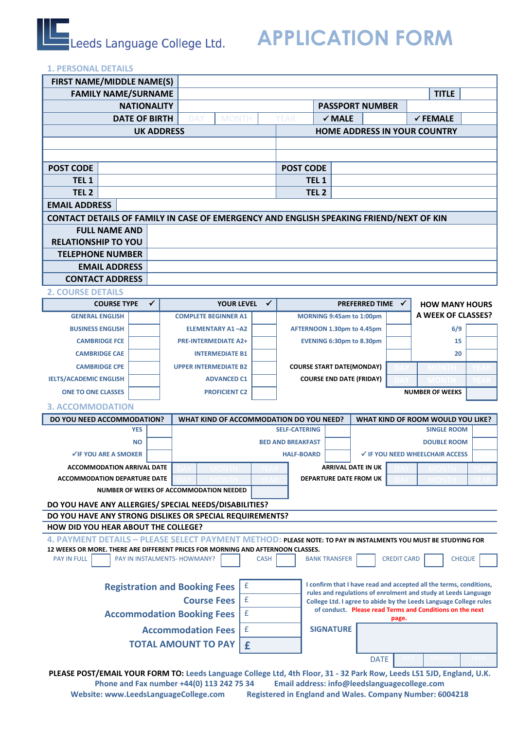# **Leads Language College Ltd.** APPLICATION FORM

# **1. PERSONAL DETAILS**

| <b>FIRST NAME/MIDDLE NAME(S)</b>                                                                                                                                                                   |  |                                         |                                         |                          |                              |                                                                   |                                  |                                                         |                                                             |  |
|----------------------------------------------------------------------------------------------------------------------------------------------------------------------------------------------------|--|-----------------------------------------|-----------------------------------------|--------------------------|------------------------------|-------------------------------------------------------------------|----------------------------------|---------------------------------------------------------|-------------------------------------------------------------|--|
| <b>FAMILY NAME/SURNAME</b>                                                                                                                                                                         |  |                                         |                                         |                          |                              |                                                                   |                                  | <b>TITLE</b>                                            |                                                             |  |
| <b>NATIONALITY</b>                                                                                                                                                                                 |  |                                         |                                         |                          | <b>PASSPORT NUMBER</b>       |                                                                   |                                  |                                                         |                                                             |  |
| <b>DATE OF BIRTH</b>                                                                                                                                                                               |  |                                         | DAY                                     | <b>MONTH</b><br>YEAR     |                              | $\checkmark$ MALE                                                 |                                  |                                                         | $\checkmark$ FEMALE                                         |  |
|                                                                                                                                                                                                    |  | <b>UK ADDRESS</b>                       |                                         |                          | HOME ADDRESS IN YOUR COUNTRY |                                                                   |                                  |                                                         |                                                             |  |
|                                                                                                                                                                                                    |  |                                         |                                         |                          |                              |                                                                   |                                  |                                                         |                                                             |  |
|                                                                                                                                                                                                    |  |                                         |                                         |                          |                              |                                                                   |                                  |                                                         |                                                             |  |
| <b>POST CODE</b>                                                                                                                                                                                   |  |                                         |                                         | <b>POST CODE</b>         |                              |                                                                   |                                  |                                                         |                                                             |  |
| TEL <sub>1</sub>                                                                                                                                                                                   |  |                                         |                                         | TEL <sub>1</sub>         |                              |                                                                   |                                  |                                                         |                                                             |  |
| TEL <sub>2</sub>                                                                                                                                                                                   |  |                                         |                                         | TEL <sub>2</sub>         |                              |                                                                   |                                  |                                                         |                                                             |  |
| <b>EMAIL ADDRESS</b>                                                                                                                                                                               |  |                                         |                                         |                          |                              |                                                                   |                                  |                                                         |                                                             |  |
| CONTACT DETAILS OF FAMILY IN CASE OF EMERGENCY AND ENGLISH SPEAKING FRIEND/NEXT OF KIN                                                                                                             |  |                                         |                                         |                          |                              |                                                                   |                                  |                                                         |                                                             |  |
| <b>FULL NAME AND</b>                                                                                                                                                                               |  |                                         |                                         |                          |                              |                                                                   |                                  |                                                         |                                                             |  |
| <b>RELATIONSHIP TO YOU</b>                                                                                                                                                                         |  |                                         |                                         |                          |                              |                                                                   |                                  |                                                         |                                                             |  |
| <b>TELEPHONE NUMBER</b>                                                                                                                                                                            |  |                                         |                                         |                          |                              |                                                                   |                                  |                                                         |                                                             |  |
| <b>EMAIL ADDRESS</b>                                                                                                                                                                               |  |                                         |                                         |                          |                              |                                                                   |                                  |                                                         |                                                             |  |
| <b>CONTACT ADDRESS</b>                                                                                                                                                                             |  |                                         |                                         |                          |                              |                                                                   |                                  |                                                         |                                                             |  |
| <b>2. COURSE DETAILS</b>                                                                                                                                                                           |  |                                         |                                         |                          |                              |                                                                   |                                  |                                                         |                                                             |  |
| <b>COURSE TYPE</b>                                                                                                                                                                                 |  | ✓                                       | <b>YOUR LEVEL</b>                       | ✓                        |                              |                                                                   | <b>PREFERRED TIME</b>            |                                                         | $\checkmark$<br><b>HOW MANY HOURS</b><br>A WEEK OF CLASSES? |  |
| <b>GENERAL ENGLISH</b>                                                                                                                                                                             |  |                                         | <b>COMPLETE BEGINNER A1</b>             |                          |                              |                                                                   | MORNING 9:45am to 1:00pm         |                                                         |                                                             |  |
| <b>BUSINESS ENGLISH</b>                                                                                                                                                                            |  |                                         | <b>ELEMENTARY A1-A2</b>                 |                          |                              | AFTERNOON 1.30pm to 4.45pm                                        |                                  |                                                         | 6/9                                                         |  |
| <b>CAMBRIDGE FCE</b>                                                                                                                                                                               |  |                                         | <b>PRE-INTERMEDIATE A2+</b>             |                          |                              |                                                                   | <b>EVENING 6:30pm to 8.30pm</b>  |                                                         | 15                                                          |  |
| <b>CAMBRIDGE CAE</b>                                                                                                                                                                               |  |                                         | <b>INTERMEDIATE B1</b>                  |                          |                              |                                                                   |                                  |                                                         | 20                                                          |  |
| <b>CAMBRIDGE CPE</b>                                                                                                                                                                               |  |                                         | <b>UPPER INTERMEDIATE B2</b>            |                          |                              |                                                                   | <b>COURSE START DATE(MONDAY)</b> |                                                         |                                                             |  |
| <b>IELTS/ACADEMIC ENGLISH</b>                                                                                                                                                                      |  |                                         | <b>ADVANCED C1</b>                      |                          |                              |                                                                   | <b>COURSE END DATE (FRIDAY)</b>  |                                                         |                                                             |  |
| <b>ONE TO ONE CLASSES</b>                                                                                                                                                                          |  |                                         | <b>PROFICIENT C2</b>                    |                          |                              |                                                                   |                                  |                                                         | <b>NUMBER OF WEEKS</b>                                      |  |
| <b>3. ACCOMMODATION</b>                                                                                                                                                                            |  |                                         |                                         |                          |                              |                                                                   |                                  |                                                         |                                                             |  |
| DO YOU NEED ACCOMMODATION?                                                                                                                                                                         |  | WHAT KIND OF ACCOMMODATION DO YOU NEED? |                                         | <b>SELF-CATERING</b>     |                              |                                                                   |                                  | WHAT KIND OF ROOM WOULD YOU LIKE?<br><b>SINGLE ROOM</b> |                                                             |  |
| <b>YES</b><br><b>NO</b>                                                                                                                                                                            |  |                                         |                                         | <b>BED AND BREAKFAST</b> |                              |                                                                   |                                  | <b>DOUBLE ROOM</b>                                      |                                                             |  |
| <b>√IF YOU ARE A SMOKER</b>                                                                                                                                                                        |  |                                         |                                         | <b>HALF-BOARD</b>        |                              |                                                                   |                                  | <b>√ IF YOU NEED WHEELCHAIR ACCESS</b>                  |                                                             |  |
| <b>ACCOMMODATION ARRIVAL DATE</b>                                                                                                                                                                  |  |                                         |                                         |                          |                              |                                                                   | <b>ARRIVAL DATE IN UK</b>        |                                                         |                                                             |  |
| <b>ACCOMMODATION DEPARTURE DATE</b>                                                                                                                                                                |  |                                         |                                         |                          |                              |                                                                   | DEPARTURE DATE FROM UK           |                                                         |                                                             |  |
|                                                                                                                                                                                                    |  |                                         | NUMBER OF WEEKS OF ACCOMMODATION NEEDED |                          |                              |                                                                   |                                  |                                                         |                                                             |  |
|                                                                                                                                                                                                    |  |                                         |                                         |                          |                              |                                                                   |                                  |                                                         |                                                             |  |
| DO YOU HAVE ANY ALLERGIES/ SPECIAL NEEDS/DISABILITIES?<br>DO YOU HAVE ANY STRONG DISLIKES OR SPECIAL REQUIREMENTS?                                                                                 |  |                                         |                                         |                          |                              |                                                                   |                                  |                                                         |                                                             |  |
| HOW DID YOU HEAR ABOUT THE COLLEGE?                                                                                                                                                                |  |                                         |                                         |                          |                              |                                                                   |                                  |                                                         |                                                             |  |
| 4. PAYMENT DETAILS - PLEASE SELECT PAYMENT METHOD: PLEASE NOTE: TO PAY IN INSTALMENTS YOU MUST BE STUDYING FOR                                                                                     |  |                                         |                                         |                          |                              |                                                                   |                                  |                                                         |                                                             |  |
| 12 WEEKS OR MORE. THERE ARE DIFFERENT PRICES FOR MORNING AND AFTERNOON CLASSES.                                                                                                                    |  |                                         |                                         |                          |                              |                                                                   |                                  |                                                         |                                                             |  |
| <b>PAY IN FULL</b>                                                                                                                                                                                 |  |                                         | PAY IN INSTALMENTS- HOWMANY?            | <b>CASH</b>              |                              | <b>BANK TRANSFER</b>                                              |                                  | <b>CREDIT CARD</b>                                      | <b>CHEQUE</b>                                               |  |
|                                                                                                                                                                                                    |  |                                         |                                         |                          |                              |                                                                   |                                  |                                                         |                                                             |  |
| I confirm that I have read and accepted all the terms, conditions,<br>$\pmb{\mathsf{f}}$<br><b>Registration and Booking Fees</b><br>rules and regulations of enrolment and study at Leeds Language |  |                                         |                                         |                          |                              |                                                                   |                                  |                                                         |                                                             |  |
| <b>Course Fees</b>                                                                                                                                                                                 |  |                                         |                                         | £                        |                              | College Ltd. I agree to abide by the Leeds Language College rules |                                  |                                                         |                                                             |  |
| of conduct. Please read Terms and Conditions on the next<br>£<br><b>Accommodation Booking Fees</b><br>page.                                                                                        |  |                                         |                                         |                          |                              |                                                                   |                                  |                                                         |                                                             |  |
|                                                                                                                                                                                                    |  | £<br><b>Accommodation Fees</b>          |                                         | <b>SIGNATURE</b>         |                              |                                                                   |                                  |                                                         |                                                             |  |
|                                                                                                                                                                                                    |  | <b>TOTAL AMOUNT TO PAY</b><br>£         |                                         |                          |                              |                                                                   |                                  |                                                         |                                                             |  |
| <b>DATE</b>                                                                                                                                                                                        |  |                                         |                                         |                          |                              |                                                                   |                                  |                                                         |                                                             |  |
| PLEASE POST/EMAIL YOUR FORM TO: Leeds Language College Ltd, 4th Floor, 31 - 32 Park Row, Leeds LS1 5JD, England, U.K.                                                                              |  |                                         |                                         |                          |                              |                                                                   |                                  |                                                         |                                                             |  |

**Phone and Fax number +44(0) 113 242 75 34 Email address: info@leedslanguagecollege.com Registered in England and Wales. Company Number: 6004218**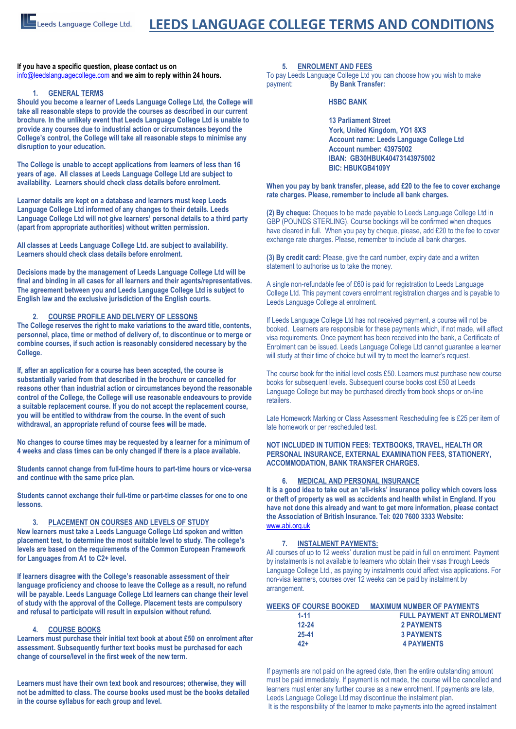**If you have a specific question, please contact us on**  [info@leedslanguagecollege.com](file:///C:/Documents%20and%20Settings/Helen/My%20Documents/Nimbox%20Vault/Administration/2017%20COLLEGE%20BROCHURES%20AND%20FORMS/2017%20BROCHURES%20AND%20WELCOME%20PACKS/2017%20BROCHURES%20STANDARD%20VERSION/info@leedslanguagecollege.com) **and we aim to reply within 24 hours.** 

#### **1. GENERAL TERMS**

**Should you become a learner of Leeds Language College Ltd, the College will take all reasonable steps to provide the courses as described in our current brochure. In the unlikely event that Leeds Language College Ltd is unable to provide any courses due to industrial action or circumstances beyond the College's control, the College will take all reasonable steps to minimise any disruption to your education.** 

**The College is unable to accept applications from learners of less than 16 years of age. All classes at Leeds Language College Ltd are subject to availability. Learners should check class details before enrolment.** 

**Learner details are kept on a database and learners must keep Leeds Language College Ltd informed of any changes to their details. Leeds Language College Ltd will not give learners' personal details to a third party (apart from appropriate authorities) without written permission.** 

**All classes at Leeds Language College Ltd. are subject to availability. Learners should check class details before enrolment.**

**Decisions made by the management of Leeds Language College Ltd will be final and binding in all cases for all learners and their agents/representatives. The agreement between you and Leeds Language College Ltd is subject to English law and the exclusive jurisdiction of the English courts.**

#### **2. COURSE PROFILE AND DELIVERY OF LESSONS**

**The College reserves the right to make variations to the award title, contents, personnel, place, time or method of delivery of, to discontinue or to merge or combine courses, if such action is reasonably considered necessary by the College.** 

**If, after an application for a course has been accepted, the course is substantially varied from that described in the brochure or cancelled for reasons other than industrial action or circumstances beyond the reasonable control of the College, the College will use reasonable endeavours to provide a suitable replacement course. If you do not accept the replacement course, you will be entitled to withdraw from the course. In the event of such withdrawal, an appropriate refund of course fees will be made.** 

**No changes to course times may be requested by a learner for a minimum of 4 weeks and class times can be only changed if there is a place available.** 

**Students cannot change from full-time hours to part-time hours or vice-versa and continue with the same price plan.**

**Students cannot exchange their full-time or part-time classes for one to one lessons.**

#### **3. PLACEMENT ON COURSES AND LEVELS OF STUDY**

**New learners must take a Leeds Language College Ltd spoken and written placement test, to determine the most suitable level to study. The college's levels are based on the requirements of the Common European Framework for Languages from A1 to C2+ level.** 

**If learners disagree with the College's reasonable assessment of their language proficiency and choose to leave the College as a result, no refund will be payable. Leeds Language College Ltd learners can change their level of study with the approval of the College. Placement tests are compulsory and refusal to participate will result in expulsion without refund.**

## **4. COURSE BOOKS**

**Learners must purchase their initial text book at about £50 on enrolment after assessment. Subsequently further text books must be purchased for each change of course/level in the first week of the new term.**

**Learners must have their own text book and resources; otherwise, they will not be admitted to class. The course books used must be the books detailed in the course syllabus for each group and level.** 

**5. ENROLMENT AND FEES** 

To pay Leeds Language College Ltd you can choose how you wish to make payment: **By Bank Transfer:** 

#### **HSBC BANK**

• **13 Parliament Street**  • **York, United Kingdom, YO1 8XS**  • **Account name: Leeds Language College Ltd**  • **Account number: 43975002**  • **IBAN: GB30HBUK40473143975002**  • **BIC: HBUKGB4109Y**

**When you pay by bank transfer, please, add £20 to the fee to cover exchange rate charges. Please, remember to include all bank charges.**

**(2) By cheque:** Cheques to be made payable to Leeds Language College Ltd in GBP (POUNDS STERLING). Course bookings will be confirmed when cheques have cleared in full. When you pay by cheque, please, add £20 to the fee to cover exchange rate charges. Please, remember to include all bank charges.

**(3) By credit card:** Please, give the card number, expiry date and a written statement to authorise us to take the money.

A single non-refundable fee of £60 is paid for registration to Leeds Language College Ltd. This payment covers enrolment registration charges and is payable to Leeds Language College at enrolment.

If Leeds Language College Ltd has not received payment, a course will not be booked. Learners are responsible for these payments which, if not made, will affect visa requirements. Once payment has been received into the bank, a Certificate of Enrolment can be issued. Leeds Language College Ltd cannot guarantee a learner will study at their time of choice but will try to meet the learner's request.

The course book for the initial level costs £50. Learners must purchase new course books for subsequent levels. Subsequent course books cost £50 at Leeds Language College but may be purchased directly from book shops or on-line retailers.

Late Homework Marking or Class Assessment Rescheduling fee is £25 per item of late homework or per rescheduled test.

#### **NOT INCLUDED IN TUITION FEES: TEXTBOOKS, TRAVEL, HEALTH OR PERSONAL INSURANCE, EXTERNAL EXAMINATION FEES, STATIONERY, ACCOMMODATION, BANK TRANSFER CHARGES.**

#### **6. MEDICAL AND PERSONAL INSURANCE**

**It is a good idea to take out an 'all-risks' insurance policy which covers loss or theft of property as well as accidents and health whilst in England. If you have not done this already and want to get more information, please contact the Association of British Insurance. Tel: 020 7600 3333 Website:**  [www.abi.org.uk](http://www.abi.org.uk/)

# **7. INSTALMENT PAYMENTS:**

All courses of up to 12 weeks' duration must be paid in full on enrolment. Payment by instalments is not available to learners who obtain their visas through Leeds Language College Ltd., as paying by instalments could affect visa applications. For non-visa learners, courses over 12 weeks can be paid by instalment by arrangement.

| <b>MAXIMUM NUMBER OF PAYMENTS</b> |
|-----------------------------------|
| <b>FULL PAYMENT AT ENROLMENT</b>  |
| 2 PAYMENTS                        |
| <b>3 PAYMENTS</b>                 |
| <b>4 PAYMENTS</b>                 |
|                                   |

If payments are not paid on the agreed date, then the entire outstanding amount must be paid immediately. If payment is not made, the course will be cancelled and learners must enter any further course as a new enrolment. If payments are late, Leeds Language College Ltd may discontinue the instalment plan. It is the responsibility of the learner to make payments into the agreed instalment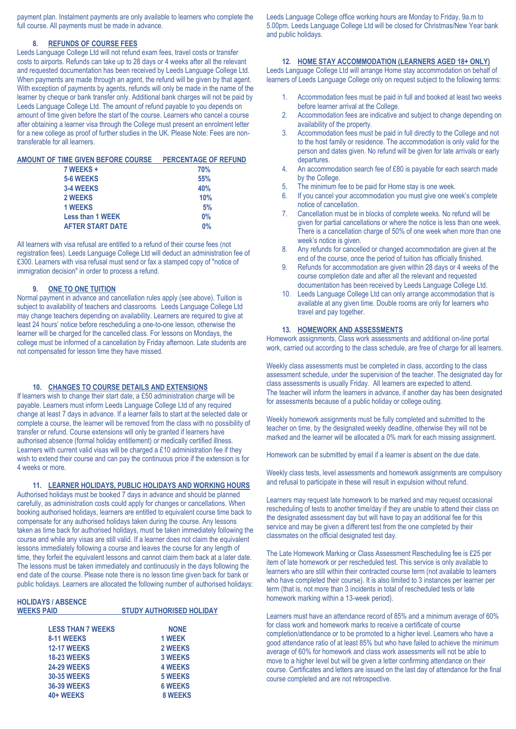payment plan. Instalment payments are only available to learners who complete the full course. All payments must be made in advance.

#### **8. REFUNDS OF COURSE FEES**

Leeds Language College Ltd will not refund exam fees, travel costs or transfer costs to airports. Refunds can take up to 28 days or 4 weeks after all the relevant and requested documentation has been received by Leeds Language College Ltd. When payments are made through an agent, the refund will be given by that agent. With exception of payments by agents, refunds will only be made in the name of the learner by cheque or bank transfer only. Additional bank charges will not be paid by Leeds Language College Ltd. The amount of refund payable to you depends on amount of time given before the start of the course. Learners who cancel a course after obtaining a learner visa through the College must present an enrolment letter for a new college as proof of further studies in the UK. Please Note: Fees are nontransferable for all learners.

| AMOUNT OF TIME GIVEN BEFORE COURSE PERCENTAGE OF REFUND |     |
|---------------------------------------------------------|-----|
| 7 WEEKS +                                               | 70% |
| 5-6 WEEKS                                               | 55% |
| 3-4 WEEKS                                               | 40% |
| 2 WEEKS                                                 | 10% |
| <b>1 WEEKS</b>                                          | 5%  |
| <b>Less than 1 WEEK</b>                                 | 0%  |
| <b>AFTER START DATE</b>                                 | 0%  |

All learners with visa refusal are entitled to a refund of their course fees (not registration fees). Leeds Language College Ltd will deduct an administration fee of £300. Learners with visa refusal must send or fax a stamped copy of "notice of immigration decision" in order to process a refund.

#### **9. ONE TO ONE TUITION**

Normal payment in advance and cancellation rules apply (see above). Tuition is subject to availability of teachers and classrooms. Leeds Language College Ltd may change teachers depending on availability. Learners are required to give at least 24 hours' notice before rescheduling a one-to-one lesson, otherwise the learner will be charged for the cancelled class. For lessons on Mondays, the college must be informed of a cancellation by Friday afternoon. Late students are not compensated for lesson time they have missed.

#### **10. CHANGES TO COURSE DETAILS AND EXTENSIONS**

If learners wish to change their start date, a £50 administration charge will be payable. Learners must inform Leeds Language College Ltd of any required change at least 7 days in advance. If a learner fails to start at the selected date or complete a course, the learner will be removed from the class with no possibility of transfer or refund. Course extensions will only be granted if learners have authorised absence (formal holiday entitlement) or medically certified illness. Learners with current valid visas will be charged a £10 administration fee if they wish to extend their course and can pay the continuous price if the extension is for 4 weeks or more.

**11. LEARNER HOLIDAYS, PUBLIC HOLIDAYS AND WORKING HOURS**

Authorised holidays must be booked 7 days in advance and should be planned carefully, as administration costs could apply for changes or cancellations. When booking authorised holidays, learners are entitled to equivalent course time back to compensate for any authorised holidays taken during the course. Any lessons taken as time back for authorised holidays, must be taken immediately following the course and while any visas are still valid. If a learner does not claim the equivalent lessons immediately following a course and leaves the course for any length of time, they forfeit the equivalent lessons and cannot claim them back at a later date. The lessons must be taken immediately and continuously in the days following the end date of the course. Please note there is no lesson time given back for bank or public holidays. Learners are allocated the following number of authorised holidays:

# **HOLIDAYS / ABSENCE**

**STUDY AUTHORISED HOLIDAY** 

| <b>LESS THAN 7 WEEKS</b> | <b>NONE</b>    |
|--------------------------|----------------|
| 8-11 WEEKS               | 1 WEEK         |
| <b>12-17 WEEKS</b>       | 2 WEEKS        |
| <b>18-23 WEEKS</b>       | <b>3 WEEKS</b> |
| <b>24-29 WEEKS</b>       | <b>4 WEEKS</b> |
| <b>30-35 WEEKS</b>       | <b>5 WEEKS</b> |
| <b>36-39 WEEKS</b>       | <b>6 WEEKS</b> |
| 40+ WEEKS                | <b>8 WEEKS</b> |

Leeds Language College office working hours are Monday to Friday, 9a.m to 5.00pm. Leeds Language College Ltd will be closed for Christmas/New Year bank and public holidays.

#### **12. HOME STAY ACCOMMODATION (LEARNERS AGED 18+ ONLY)**

Leeds Language College Ltd will arrange Home stay accommodation on behalf of learners of Leeds Language College only on request subject to the following terms:

- 1. Accommodation fees must be paid in full and booked at least two weeks before learner arrival at the College.
- 2. Accommodation fees are indicative and subject to change depending on availability of the property.
- 3. Accommodation fees must be paid in full directly to the College and not to the host family or residence. The accommodation is only valid for the person and dates given. No refund will be given for late arrivals or early departures.
- 4. An accommodation search fee of £80 is payable for each search made by the College.
- 5. The minimum fee to be paid for Home stay is one week.
- 6. If you cancel your accommodation you must give one week's complete notice of cancellation.
- 7. Cancellation must be in blocks of complete weeks. No refund will be given for partial cancellations or where the notice is less than one week. There is a cancellation charge of 50% of one week when more than one week's notice is given.
- 8. Any refunds for cancelled or changed accommodation are given at the end of the course, once the period of tuition has officially finished.
- 9. Refunds for accommodation are given within 28 days or 4 weeks of the course completion date and after all the relevant and requested documentation has been received by Leeds Language College Ltd.
- 10. Leeds Language College Ltd can only arrange accommodation that is available at any given time. Double rooms are only for learners who travel and pay together.

#### **13. HOMEWORK AND ASSESSMENTS**

Homework assignments, Class work assessments and additional on-line portal work, carried out according to the class schedule, are free of charge for all learners.

Weekly class assessments must be completed in class, according to the class assessment schedule, under the supervision of the teacher. The designated day for class assessments is usually Friday. All learners are expected to attend. The teacher will inform the learners in advance, if another day has been designated for assessments because of a public holiday or college outing.

Weekly homework assignments must be fully completed and submitted to the teacher on time, by the designated weekly deadline, otherwise they will not be marked and the learner will be allocated a 0% mark for each missing assignment.

Homework can be submitted by email if a learner is absent on the due date.

Weekly class tests, level assessments and homework assignments are compulsory and refusal to participate in these will result in expulsion without refund.

Learners may request late homework to be marked and may request occasional rescheduling of tests to another time/day if they are unable to attend their class on the designated assessment day but will have to pay an additional fee for this service and may be given a different test from the one completed by their classmates on the official designated test day.

The Late Homework Marking or Class Assessment Rescheduling fee is £25 per item of late homework or per rescheduled test. This service is only available to learners who are still within their contracted course term (not available to learners who have completed their course). It is also limited to 3 instances per learner per term (that is, not more than 3 incidents in total of rescheduled tests or late homework marking within a 13-week period).

Learners must have an attendance record of 85% and a minimum average of 60% for class work and homework marks to receive a certificate of course completion/attendance or to be promoted to a higher level. Learners who have a good attendance ratio of at least 85% but who have failed to achieve the minimum average of 60% for homework and class work assessments will not be able to move to a higher level but will be given a letter confirming attendance on their course. Certificates and letters are issued on the last day of attendance for the final course completed and are not retrospective.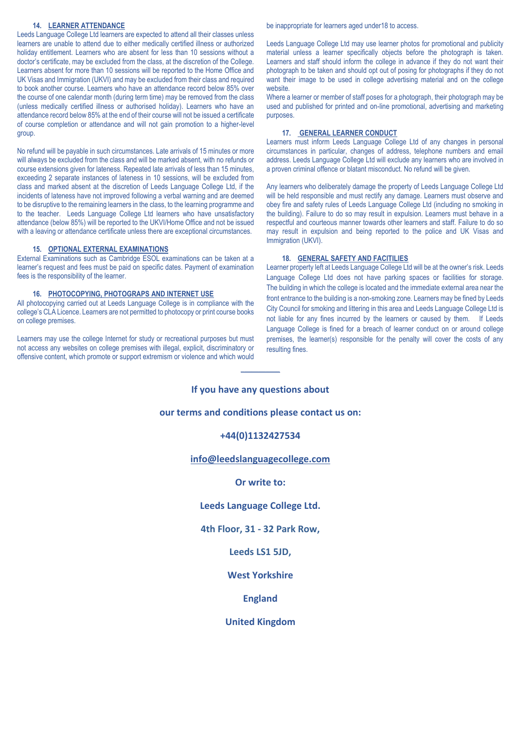#### **14. LEARNER ATTENDANCE**

Leeds Language College Ltd learners are expected to attend all their classes unless learners are unable to attend due to either medically certified illness or authorized holiday entitlement. Learners who are absent for less than 10 sessions without a doctor's certificate, may be excluded from the class, at the discretion of the College. Learners absent for more than 10 sessions will be reported to the Home Office and UK Visas and Immigration (UKVI) and may be excluded from their class and required to book another course. Learners who have an attendance record below 85% over the course of one calendar month (during term time) may be removed from the class (unless medically certified illness or authorised holiday). Learners who have an attendance record below 85% at the end of their course will not be issued a certificate of course completion or attendance and will not gain promotion to a higher-level group.

No refund will be payable in such circumstances. Late arrivals of 15 minutes or more will always be excluded from the class and will be marked absent, with no refunds or course extensions given for lateness. Repeated late arrivals of less than 15 minutes, exceeding 2 separate instances of lateness in 10 sessions, will be excluded from class and marked absent at the discretion of Leeds Language College Ltd, if the incidents of lateness have not improved following a verbal warning and are deemed to be disruptive to the remaining learners in the class, to the learning programme and to the teacher. Leeds Language College Ltd learners who have unsatisfactory attendance (below 85%) will be reported to the UKVI/Home Office and not be issued with a leaving or attendance certificate unless there are exceptional circumstances.

#### **15. OPTIONAL EXTERNAL EXAMINATIONS**

External Examinations such as Cambridge ESOL examinations can be taken at a learner's request and fees must be paid on specific dates. Payment of examination fees is the responsibility of the learner.

#### **16. PHOTOCOPYING, PHOTOGRAPS AND INTERNET USE**

All photocopying carried out at Leeds Language College is in compliance with the college's CLA Licence. Learners are not permitted to photocopy or print course books on college premises.

Learners may use the college Internet for study or recreational purposes but must not access any websites on college premises with illegal, explicit, discriminatory or offensive content, which promote or support extremism or violence and which would be inappropriate for learners aged under18 to access.

Leeds Language College Ltd may use learner photos for promotional and publicity material unless a learner specifically objects before the photograph is taken. Learners and staff should inform the college in advance if they do not want their photograph to be taken and should opt out of posing for photographs if they do not want their image to be used in college advertising material and on the college website.

Where a learner or member of staff poses for a photograph, their photograph may be used and published for printed and on-line promotional, advertising and marketing purposes.

#### **17. GENERAL LEARNER CONDUCT**

Learners must inform Leeds Language College Ltd of any changes in personal circumstances in particular, changes of address, telephone numbers and email address. Leeds Language College Ltd will exclude any learners who are involved in a proven criminal offence or blatant misconduct. No refund will be given.

Any learners who deliberately damage the property of Leeds Language College Ltd will be held responsible and must rectify any damage. Learners must observe and obey fire and safety rules of Leeds Language College Ltd (including no smoking in the building). Failure to do so may result in expulsion. Learners must behave in a respectful and courteous manner towards other learners and staff. Failure to do so may result in expulsion and being reported to the police and UK Visas and Immigration (UKVI).

#### **18. GENERAL SAFETY AND FACITILIES**

Learner property left at Leeds Language College Ltd will be at the owner's risk. Leeds Language College Ltd does not have parking spaces or facilities for storage. The building in which the college is located and the immediate external area near the front entrance to the building is a non-smoking zone. Learners may be fined by Leeds City Council for smoking and littering in this area and Leeds Language College Ltd is not liable for any fines incurred by the learners or caused by them. If Leeds Language College is fined for a breach of learner conduct on or around college premises, the learner(s) responsible for the penalty will cover the costs of any resulting fines.

# **If you have any questions about**

 $\frac{1}{2}$ 

# **our terms and conditions please contact us on:**

# **+44(0)1132427534**

# **[info@leedslanguagecollege.com](mailto:info@leedslanguagecollege.com)**

## **Or write to:**

# **Leeds Language College Ltd.**

# **4th Floor, 31 - 32 Park Row,**

# **Leeds LS1 5JD,**

# **West Yorkshire**

# **England**

# **United Kingdom**